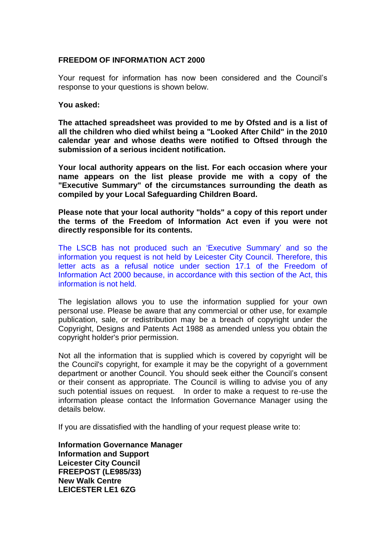## **FREEDOM OF INFORMATION ACT 2000**

Your request for information has now been considered and the Council's response to your questions is shown below.

## **You asked:**

**The attached spreadsheet was provided to me by Ofsted and is a list of all the children who died whilst being a "Looked After Child" in the 2010 calendar year and whose deaths were notified to Oftsed through the submission of a serious incident notification.**

**Your local authority appears on the list. For each occasion where your name appears on the list please provide me with a copy of the "Executive Summary" of the circumstances surrounding the death as compiled by your Local Safeguarding Children Board.**

**Please note that your local authority "holds" a copy of this report under the terms of the Freedom of Information Act even if you were not directly responsible for its contents.**

The LSCB has not produced such an 'Executive Summary' and so the information you request is not held by Leicester City Council. Therefore, this letter acts as a refusal notice under section 17.1 of the Freedom of Information Act 2000 because, in accordance with this section of the Act, this information is not held.

The legislation allows you to use the information supplied for your own personal use. Please be aware that any commercial or other use, for example publication, sale, or redistribution may be a breach of copyright under the Copyright, Designs and Patents Act 1988 as amended unless you obtain the copyright holder's prior permission.

Not all the information that is supplied which is covered by copyright will be the Council's copyright, for example it may be the copyright of a government department or another Council. You should seek either the Council's consent or their consent as appropriate. The Council is willing to advise you of any such potential issues on request. In order to make a request to re-use the information please contact the Information Governance Manager using the details below.

If you are dissatisfied with the handling of your request please write to:

**Information Governance Manager Information and Support Leicester City Council FREEPOST (LE985/33) New Walk Centre LEICESTER LE1 6ZG**